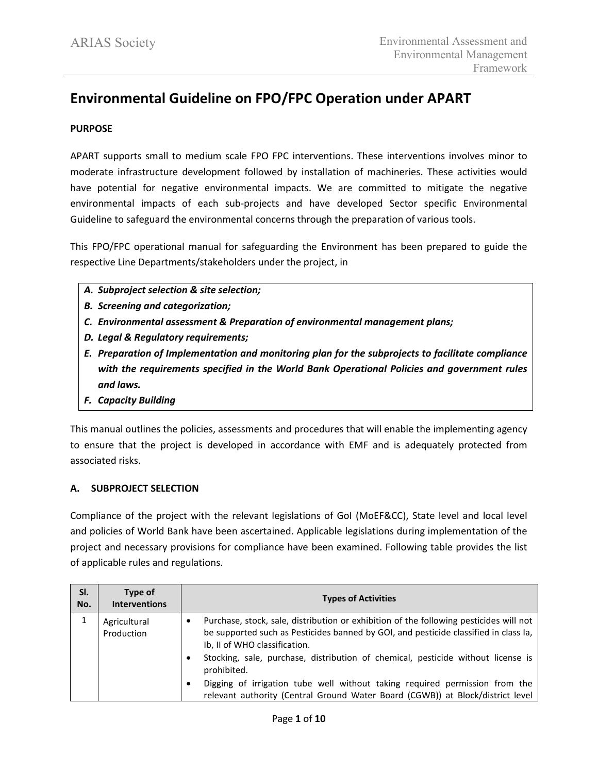# **Environmental Guideline on FPO/FPC Operation under APART**

# **PURPOSE**

APART supports small to medium scale FPO FPC interventions. These interventions involves minor to moderate infrastructure development followed by installation of machineries. These activities would have potential for negative environmental impacts. We are committed to mitigate the negative environmental impacts of each sub-projects and have developed Sector specific Environmental Guideline to safeguard the environmental concerns through the preparation of various tools.

This FPO/FPC operational manual for safeguarding the Environment has been prepared to guide the respective Line Departments/stakeholders under the project, in

- *A. Subproject selection & site selection;*
- *B. Screening and categorization;*
- *C. Environmental assessment & Preparation of environmental management plans;*
- *D. Legal & Regulatory requirements;*
- *E. Preparation of Implementation and monitoring plan for the subprojects to facilitate compliance with the requirements specified in the World Bank Operational Policies and government rules and laws.*
- *F. Capacity Building*

This manual outlines the policies, assessments and procedures that will enable the implementing agency to ensure that the project is developed in accordance with EMF and is adequately protected from associated risks.

## **A. SUBPROJECT SELECTION**

Compliance of the project with the relevant legislations of GoI (MoEF&CC), State level and local level and policies of World Bank have been ascertained. Applicable legislations during implementation of the project and necessary provisions for compliance have been examined. Following table provides the list of applicable rules and regulations.

| SI.<br>No. | Type of<br><b>Interventions</b> | <b>Types of Activities</b>                                                                                                                                                                                                                                                                                         |  |  |
|------------|---------------------------------|--------------------------------------------------------------------------------------------------------------------------------------------------------------------------------------------------------------------------------------------------------------------------------------------------------------------|--|--|
|            | Agricultural<br>Production      | Purchase, stock, sale, distribution or exhibition of the following pesticides will not<br>be supported such as Pesticides banned by GOI, and pesticide classified in class Ia,<br>Ib, II of WHO classification.<br>Stocking, sale, purchase, distribution of chemical, pesticide without license is<br>prohibited. |  |  |
|            |                                 | Digging of irrigation tube well without taking required permission from the<br>relevant authority (Central Ground Water Board (CGWB)) at Block/district level                                                                                                                                                      |  |  |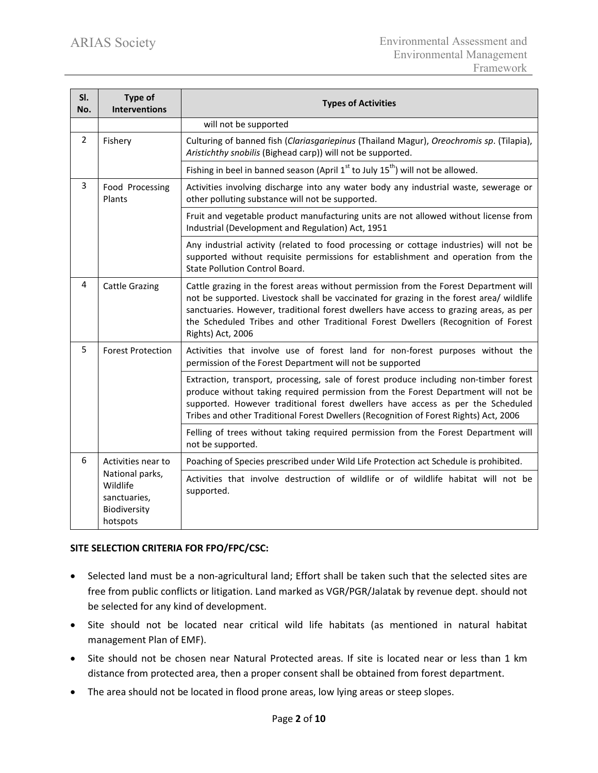| SI.<br>No.                                                                         | Type of<br><b>Interventions</b>                                                                                                                                         | <b>Types of Activities</b>                                                                                                                                                                                                                                                                                                                                                            |  |
|------------------------------------------------------------------------------------|-------------------------------------------------------------------------------------------------------------------------------------------------------------------------|---------------------------------------------------------------------------------------------------------------------------------------------------------------------------------------------------------------------------------------------------------------------------------------------------------------------------------------------------------------------------------------|--|
|                                                                                    |                                                                                                                                                                         | will not be supported                                                                                                                                                                                                                                                                                                                                                                 |  |
| $\overline{2}$<br>Fishery                                                          |                                                                                                                                                                         | Culturing of banned fish (Clariasgariepinus (Thailand Magur), Oreochromis sp. (Tilapia),<br>Aristichthy snobilis (Bighead carp)) will not be supported.                                                                                                                                                                                                                               |  |
|                                                                                    |                                                                                                                                                                         | Fishing in beel in banned season (April $1^{st}$ to July $15^{th}$ ) will not be allowed.                                                                                                                                                                                                                                                                                             |  |
| 3<br>Food Processing<br>Plants<br>other polluting substance will not be supported. |                                                                                                                                                                         | Activities involving discharge into any water body any industrial waste, sewerage or                                                                                                                                                                                                                                                                                                  |  |
|                                                                                    |                                                                                                                                                                         | Fruit and vegetable product manufacturing units are not allowed without license from<br>Industrial (Development and Regulation) Act, 1951                                                                                                                                                                                                                                             |  |
|                                                                                    |                                                                                                                                                                         | Any industrial activity (related to food processing or cottage industries) will not be<br>supported without requisite permissions for establishment and operation from the<br><b>State Pollution Control Board.</b>                                                                                                                                                                   |  |
| 4                                                                                  | <b>Cattle Grazing</b>                                                                                                                                                   | Cattle grazing in the forest areas without permission from the Forest Department will<br>not be supported. Livestock shall be vaccinated for grazing in the forest area/ wildlife<br>sanctuaries. However, traditional forest dwellers have access to grazing areas, as per<br>the Scheduled Tribes and other Traditional Forest Dwellers (Recognition of Forest<br>Rights) Act, 2006 |  |
| 5                                                                                  | Activities that involve use of forest land for non-forest purposes without the<br><b>Forest Protection</b><br>permission of the Forest Department will not be supported |                                                                                                                                                                                                                                                                                                                                                                                       |  |
|                                                                                    |                                                                                                                                                                         | Extraction, transport, processing, sale of forest produce including non-timber forest<br>produce without taking required permission from the Forest Department will not be<br>supported. However traditional forest dwellers have access as per the Scheduled<br>Tribes and other Traditional Forest Dwellers (Recognition of Forest Rights) Act, 2006                                |  |
|                                                                                    |                                                                                                                                                                         | Felling of trees without taking required permission from the Forest Department will<br>not be supported.                                                                                                                                                                                                                                                                              |  |
| 6                                                                                  | Activities near to                                                                                                                                                      | Poaching of Species prescribed under Wild Life Protection act Schedule is prohibited.                                                                                                                                                                                                                                                                                                 |  |
|                                                                                    | National parks,<br>Wildlife<br>sanctuaries,<br>Biodiversity<br>hotspots                                                                                                 | Activities that involve destruction of wildlife or of wildlife habitat will not be<br>supported.                                                                                                                                                                                                                                                                                      |  |

## **SITE SELECTION CRITERIA FOR FPO/FPC/CSC:**

- Selected land must be a non-agricultural land; Effort shall be taken such that the selected sites are free from public conflicts or litigation. Land marked as VGR/PGR/Jalatak by revenue dept. should not be selected for any kind of development.
- Site should not be located near critical wild life habitats (as mentioned in natural habitat management Plan of EMF).
- Site should not be chosen near Natural Protected areas. If site is located near or less than 1 km distance from protected area, then a proper consent shall be obtained from forest department.
- The area should not be located in flood prone areas, low lying areas or steep slopes.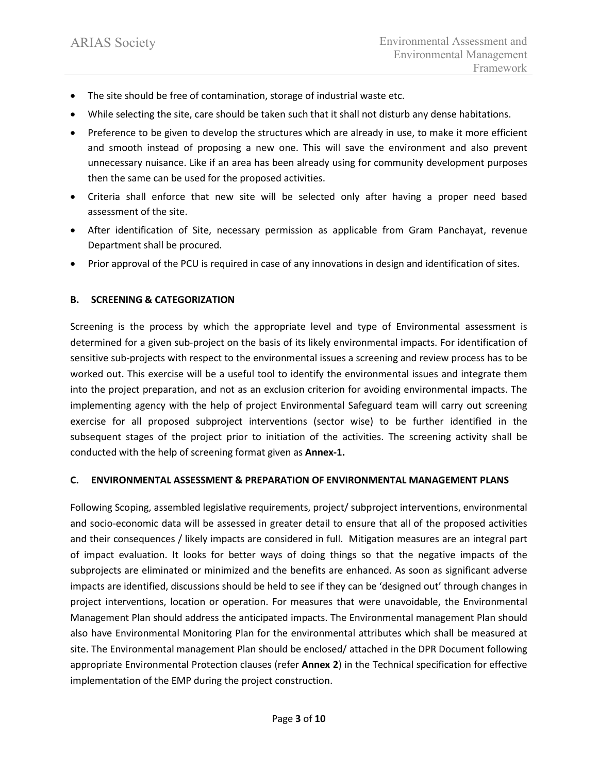- The site should be free of contamination, storage of industrial waste etc.
- While selecting the site, care should be taken such that it shall not disturb any dense habitations.
- Preference to be given to develop the structures which are already in use, to make it more efficient and smooth instead of proposing a new one. This will save the environment and also prevent unnecessary nuisance. Like if an area has been already using for community development purposes then the same can be used for the proposed activities.
- Criteria shall enforce that new site will be selected only after having a proper need based assessment of the site.
- After identification of Site, necessary permission as applicable from Gram Panchayat, revenue Department shall be procured.
- Prior approval of the PCU is required in case of any innovations in design and identification of sites.

# **B. SCREENING & CATEGORIZATION**

Screening is the process by which the appropriate level and type of Environmental assessment is determined for a given sub-project on the basis of its likely environmental impacts. For identification of sensitive sub-projects with respect to the environmental issues a screening and review process has to be worked out. This exercise will be a useful tool to identify the environmental issues and integrate them into the project preparation, and not as an exclusion criterion for avoiding environmental impacts. The implementing agency with the help of project Environmental Safeguard team will carry out screening exercise for all proposed subproject interventions (sector wise) to be further identified in the subsequent stages of the project prior to initiation of the activities. The screening activity shall be conducted with the help of screening format given as **Annex-1.**

## **C. ENVIRONMENTAL ASSESSMENT & PREPARATION OF ENVIRONMENTAL MANAGEMENT PLANS**

Following Scoping, assembled legislative requirements, project/ subproject interventions, environmental and socio-economic data will be assessed in greater detail to ensure that all of the proposed activities and their consequences / likely impacts are considered in full. Mitigation measures are an integral part of impact evaluation. It looks for better ways of doing things so that the negative impacts of the subprojects are eliminated or minimized and the benefits are enhanced. As soon as significant adverse impacts are identified, discussions should be held to see if they can be 'designed out' through changes in project interventions, location or operation. For measures that were unavoidable, the Environmental Management Plan should address the anticipated impacts. The Environmental management Plan should also have Environmental Monitoring Plan for the environmental attributes which shall be measured at site. The Environmental management Plan should be enclosed/ attached in the DPR Document following appropriate Environmental Protection clauses (refer **Annex 2**) in the Technical specification for effective implementation of the EMP during the project construction.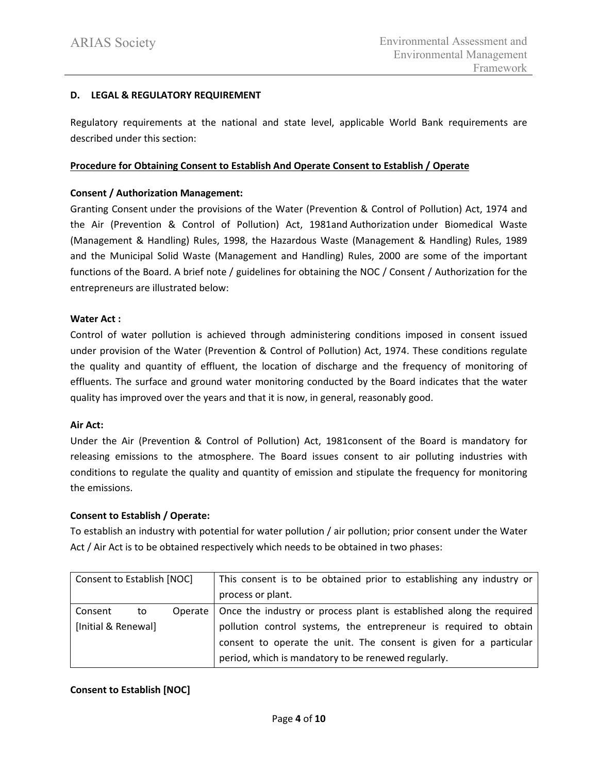# **D. LEGAL & REGULATORY REQUIREMENT**

Regulatory requirements at the national and state level, applicable World Bank requirements are described under this section:

## **Procedure for Obtaining Consent to Establish And Operate Consent to Establish / Operate**

# **Consent / Authorization Management:**

Granting Consent under the provisions of the Water (Prevention & Control of Pollution) Act, 1974 and the Air (Prevention & Control of Pollution) Act, 1981and Authorization under Biomedical Waste (Management & Handling) Rules, 1998, the Hazardous Waste (Management & Handling) Rules, 1989 and the Municipal Solid Waste (Management and Handling) Rules, 2000 are some of the important functions of the Board. A brief note / guidelines for obtaining the NOC / Consent / Authorization for the entrepreneurs are illustrated below:

# **Water Act :**

Control of water pollution is achieved through administering conditions imposed in consent issued under provision of the Water (Prevention & Control of Pollution) Act, 1974. These conditions regulate the quality and quantity of effluent, the location of discharge and the frequency of monitoring of effluents. The surface and ground water monitoring conducted by the Board indicates that the water quality has improved over the years and that it is now, in general, reasonably good.

## **Air Act:**

Under the Air (Prevention & Control of Pollution) Act, 1981consent of the Board is mandatory for releasing emissions to the atmosphere. The Board issues consent to air polluting industries with conditions to regulate the quality and quantity of emission and stipulate the frequency for monitoring the emissions.

## **Consent to Establish / Operate:**

To establish an industry with potential for water pollution / air pollution; prior consent under the Water Act / Air Act is to be obtained respectively which needs to be obtained in two phases:

| Consent to Establish [NOC] |    |  | This consent is to be obtained prior to establishing any industry or           |  |
|----------------------------|----|--|--------------------------------------------------------------------------------|--|
|                            |    |  | process or plant.                                                              |  |
| Consent                    | to |  | Operate   Once the industry or process plant is established along the required |  |
| [Initial & Renewal]        |    |  | pollution control systems, the entrepreneur is required to obtain              |  |
|                            |    |  | consent to operate the unit. The consent is given for a particular             |  |
|                            |    |  | period, which is mandatory to be renewed regularly.                            |  |

# **Consent to Establish [NOC]**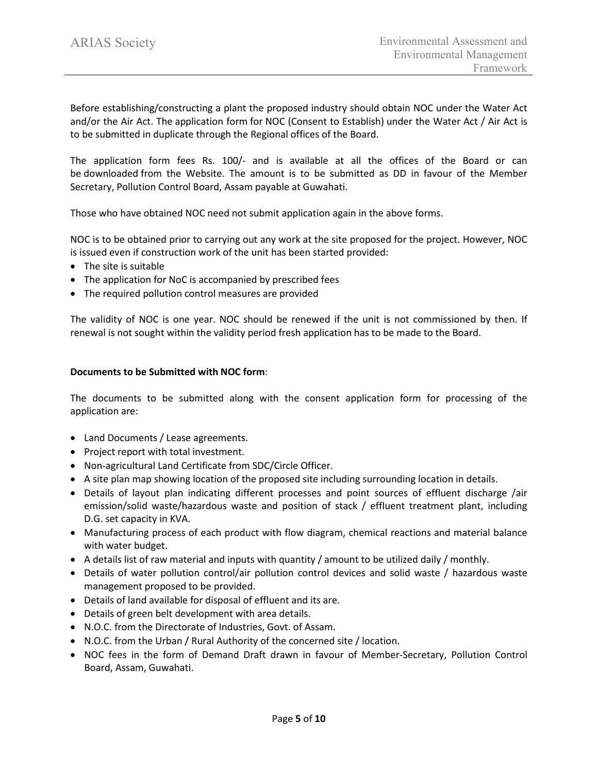Before establishing/constructing a plant the proposed industry should obtain NOC under the Water Act and/or the Air Act. The application form for NOC (Consent to Establish) under the Water Act / Air Act is to be submitted in duplicate through the Regional offices of the Board.

The application form fees Rs. 100/- and is available at all the offices of the Board or can be [downloaded](https://pcbassam.org/pdf/schedule-i.pdf) from the Website. The amount is to be submitted as DD in favour of the Member Secretary, Pollution Control Board, Assam payable at Guwahati.

Those who have obtained NOC need not submit application again in the above forms.

NOC is to be obtained prior to carrying out any work at the site proposed for the project. However, NOC is issued even if construction work of the unit has been started provided:

- The site is suitable
- The application for NoC is accompanied by prescribed fees
- The required pollution control measures are provided

The validity of NOC is one year. NOC should be renewed if the unit is not commissioned by then. If renewal is not sought within the validity period fresh application has to be made to the Board.

#### **Documents to be Submitted with NOC form**:

The documents to be submitted along with the consent application form for processing of the application are:

- Land Documents / Lease agreements.
- Project report with total investment.
- Non-agricultural Land Certificate from SDC/Circle Officer.
- A site plan map showing location of the proposed site including surrounding location in details.
- Details of layout plan indicating different processes and point sources of effluent discharge /air emission/solid waste/hazardous waste and position of stack / effluent treatment plant, including D.G. set capacity in KVA.
- Manufacturing process of each product with flow diagram, chemical reactions and material balance with water budget.
- A details list of raw material and inputs with quantity / amount to be utilized daily / monthly.
- Details of water pollution control/air pollution control devices and solid waste / hazardous waste management proposed to be provided.
- Details of land available for disposal of effluent and its are.
- Details of green belt development with area details.
- N.O.C. from the Directorate of Industries, Govt. of Assam.
- N.O.C. from the Urban / Rural Authority of the concerned site / location.
- NOC fees in the form of Demand Draft drawn in favour of Member-Secretary, Pollution Control Board, Assam, Guwahati.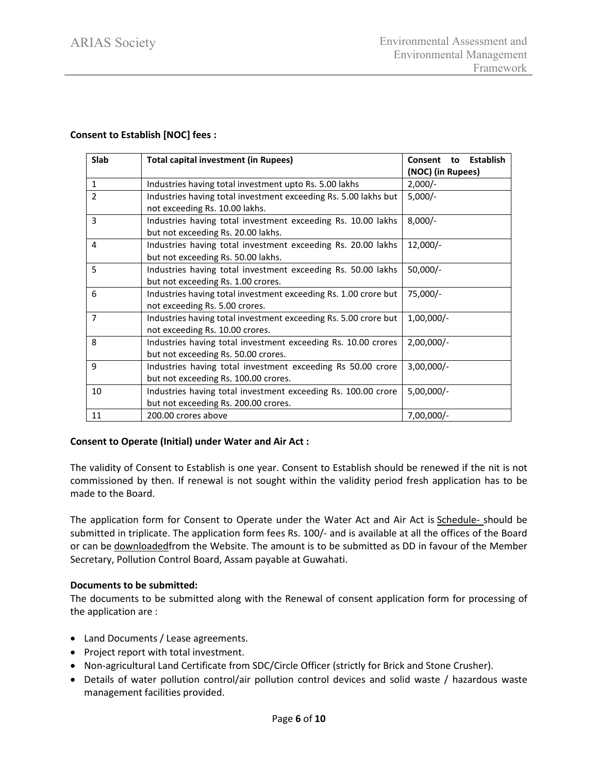## **Consent to Establish [NOC] fees :**

| <b>Slab</b>    | <b>Total capital investment (in Rupees)</b>                     | <b>Establish</b><br>Consent<br>to |  |
|----------------|-----------------------------------------------------------------|-----------------------------------|--|
|                |                                                                 | (NOC) (in Rupees)                 |  |
| $\mathbf{1}$   | Industries having total investment upto Rs. 5.00 lakhs          | $2,000/-$                         |  |
| 2              | Industries having total investment exceeding Rs. 5.00 lakhs but | $5,000/-$                         |  |
|                | not exceeding Rs. 10.00 lakhs.                                  |                                   |  |
| 3              | Industries having total investment exceeding Rs. 10.00 lakhs    | $8,000/-$                         |  |
|                | but not exceeding Rs. 20.00 lakhs.                              |                                   |  |
| 4              | Industries having total investment exceeding Rs. 20.00 lakhs    | $12,000/-$                        |  |
|                | but not exceeding Rs. 50.00 lakhs.                              |                                   |  |
| 5              | Industries having total investment exceeding Rs. 50.00 lakhs    | $50,000/-$                        |  |
|                | but not exceeding Rs. 1.00 crores.                              |                                   |  |
| 6              | Industries having total investment exceeding Rs. 1.00 crore but | 75,000/-                          |  |
|                | not exceeding Rs. 5.00 crores.                                  |                                   |  |
| $\overline{7}$ | Industries having total investment exceeding Rs. 5.00 crore but | $1,00,000/-$                      |  |
|                | not exceeding Rs. 10.00 crores.                                 |                                   |  |
| 8              | Industries having total investment exceeding Rs. 10.00 crores   | $2,00,000/-$                      |  |
|                | but not exceeding Rs. 50.00 crores.                             |                                   |  |
| 9              | Industries having total investment exceeding Rs 50.00 crore     | $3,00,000/-$                      |  |
|                | but not exceeding Rs. 100.00 crores.                            |                                   |  |
| 10             | Industries having total investment exceeding Rs. 100.00 crore   | $5,00,000/-$                      |  |
|                | but not exceeding Rs. 200.00 crores.                            |                                   |  |
| 11             | 200.00 crores above                                             | $7,00,000/-$                      |  |

## **Consent to Operate (Initial) under Water and Air Act :**

The validity of Consent to Establish is one year. Consent to Establish should be renewed if the nit is not commissioned by then. If renewal is not sought within the validity period fresh application has to be made to the Board.

The application form for Consent to Operate under the Water Act and Air Act is [Schedule-](https://pcbassam.org/pdf/schedule-i.pdf) should be submitted in triplicate. The application form fees Rs. 100/- and is available at all the offices of the Board or can be [downloadedf](https://pcbassam.org/pdf/schedule-i.pdf)rom the Website. The amount is to be submitted as DD in favour of the Member Secretary, Pollution Control Board, Assam payable at Guwahati.

## **Documents to be submitted:**

The documents to be submitted along with the Renewal of consent application form for processing of the application are :

- Land Documents / Lease agreements.
- Project report with total investment.
- Non-agricultural Land Certificate from SDC/Circle Officer (strictly for Brick and Stone Crusher).
- Details of water pollution control/air pollution control devices and solid waste / hazardous waste management facilities provided.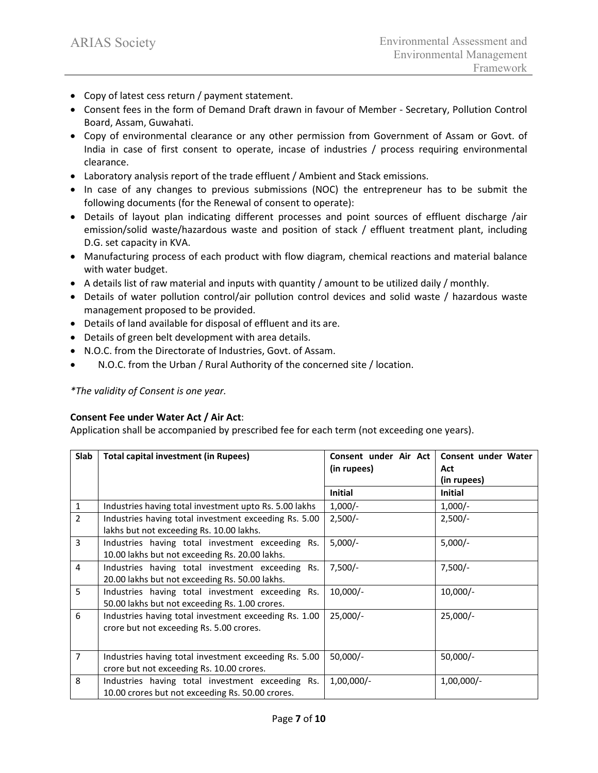- Copy of latest cess return / payment statement.
- Consent fees in the form of Demand Draft drawn in favour of Member Secretary, Pollution Control Board, Assam, Guwahati.
- Copy of environmental clearance or any other permission from Government of Assam or Govt. of India in case of first consent to operate, incase of industries / process requiring environmental clearance.
- Laboratory analysis report of the trade effluent / Ambient and Stack emissions.
- In case of any changes to previous submissions (NOC) the entrepreneur has to be submit the following documents (for the Renewal of consent to operate):
- Details of layout plan indicating different processes and point sources of effluent discharge /air emission/solid waste/hazardous waste and position of stack / effluent treatment plant, including D.G. set capacity in KVA.
- Manufacturing process of each product with flow diagram, chemical reactions and material balance with water budget.
- A details list of raw material and inputs with quantity / amount to be utilized daily / monthly.
- Details of water pollution control/air pollution control devices and solid waste / hazardous waste management proposed to be provided.
- Details of land available for disposal of effluent and its are.
- Details of green belt development with area details.
- N.O.C. from the Directorate of Industries, Govt. of Assam.
- N.O.C. from the Urban / Rural Authority of the concerned site / location.

*\*The validity of Consent is one year.*

# **Consent Fee under Water Act / Air Act**:

Application shall be accompanied by prescribed fee for each term (not exceeding one years).

| <b>Slab</b>    | Total capital investment (in Rupees)                                                                 | Consent under Air Act<br>(in rupees) | Consent under Water<br>Act<br>(in rupees) |
|----------------|------------------------------------------------------------------------------------------------------|--------------------------------------|-------------------------------------------|
|                |                                                                                                      | <b>Initial</b>                       | <b>Initial</b>                            |
| $\mathbf{1}$   | Industries having total investment upto Rs. 5.00 lakhs                                               | $1,000/-$                            | $1,000/-$                                 |
| $\overline{2}$ | Industries having total investment exceeding Rs. 5.00<br>lakhs but not exceeding Rs. 10.00 lakhs.    | $2,500/-$                            | $2,500/-$                                 |
| 3              | Industries having total investment exceeding Rs.<br>10.00 lakhs but not exceeding Rs. 20.00 lakhs.   | $5,000/-$                            | $5,000/-$                                 |
| 4              | Industries having total investment exceeding Rs.<br>20.00 lakhs but not exceeding Rs. 50.00 lakhs.   | $7,500/-$                            | $7,500/-$                                 |
| 5              | Industries having total investment exceeding Rs.<br>50.00 lakhs but not exceeding Rs. 1.00 crores.   | $10,000/-$                           | $10,000/-$                                |
| 6              | Industries having total investment exceeding Rs. 1.00<br>crore but not exceeding Rs. 5.00 crores.    | $25,000/-$                           | $25,000/-$                                |
| $\overline{7}$ | Industries having total investment exceeding Rs. 5.00<br>crore but not exceeding Rs. 10.00 crores.   | $50,000/-$                           | $50,000/-$                                |
| 8              | Industries having total investment exceeding Rs.<br>10.00 crores but not exceeding Rs. 50.00 crores. | $1,00,000/-$                         | $1,00,000/-$                              |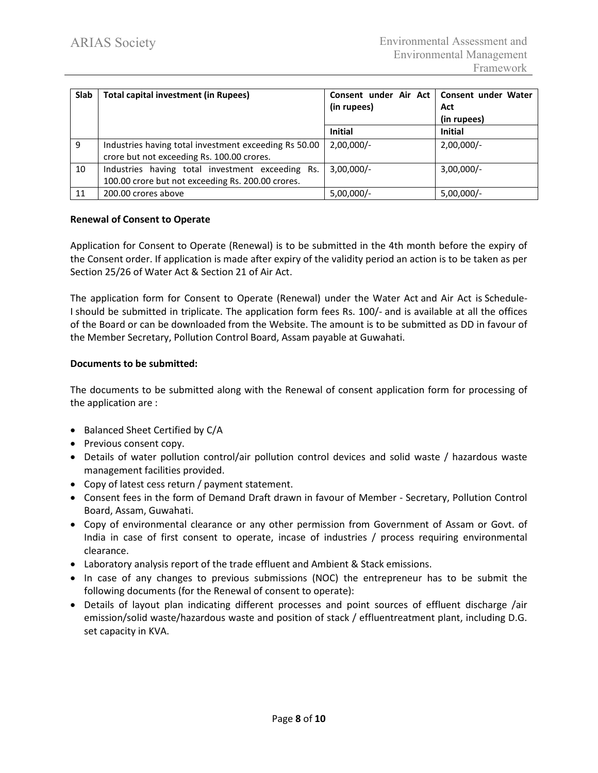| <b>Slab</b> | <b>Total capital investment (in Rupees)</b>                                                           | Consent under Air Act   Consent under Water<br>(in rupees) | Act<br>(in rupees) |
|-------------|-------------------------------------------------------------------------------------------------------|------------------------------------------------------------|--------------------|
|             |                                                                                                       | <b>Initial</b>                                             | <b>Initial</b>     |
| 9           | Industries having total investment exceeding Rs 50.00<br>crore but not exceeding Rs. 100.00 crores.   | $2,00,000/-$                                               | $2,00,000/-$       |
| 10          | Industries having total investment exceeding Rs.<br>100.00 crore but not exceeding Rs. 200.00 crores. | $3,00,000/-$                                               | $3,00,000/-$       |
| 11          | 200.00 crores above                                                                                   | $5,00,000/-$                                               | $5,00,000/-$       |

## **Renewal of Consent to Operate**

Application for Consent to Operate (Renewal) is to be submitted in the 4th month before the expiry of the Consent order. If application is made after expiry of the validity period an action is to be taken as per Section 25/26 of Water Act & Section 21 of Air Act.

The application form for Consent to Operate (Renewal) under the Water Act and Air Act is [Schedule-](https://pcbassam.org/pdf/schedule-i.pdf)[I](https://pcbassam.org/pdf/schedule-i.pdf) should be submitted in triplicate. The application form fees Rs. 100/- and is available at all the offices of the Board or can be [downloaded](https://pcbassam.org/pdf/schedule-i.pdf) from the Website. The amount is to be submitted as DD in favour of the Member Secretary, Pollution Control Board, Assam payable at Guwahati.

## **Documents to be submitted:**

The documents to be submitted along with the Renewal of consent application form for processing of the application are :

- Balanced Sheet Certified by C/A
- Previous consent copy.
- Details of water pollution control/air pollution control devices and solid waste / hazardous waste management facilities provided.
- Copy of latest cess return / payment statement.
- Consent fees in the form of Demand Draft drawn in favour of Member Secretary, Pollution Control Board, Assam, Guwahati.
- Copy of environmental clearance or any other permission from Government of Assam or Govt. of India in case of first consent to operate, incase of industries / process requiring environmental clearance.
- Laboratory analysis report of the trade effluent and Ambient & Stack emissions.
- In case of any changes to previous submissions (NOC) the entrepreneur has to be submit the following documents (for the Renewal of consent to operate):
- Details of layout plan indicating different processes and point sources of effluent discharge /air emission/solid waste/hazardous waste and position of stack / effluentreatment plant, including D.G. set capacity in KVA.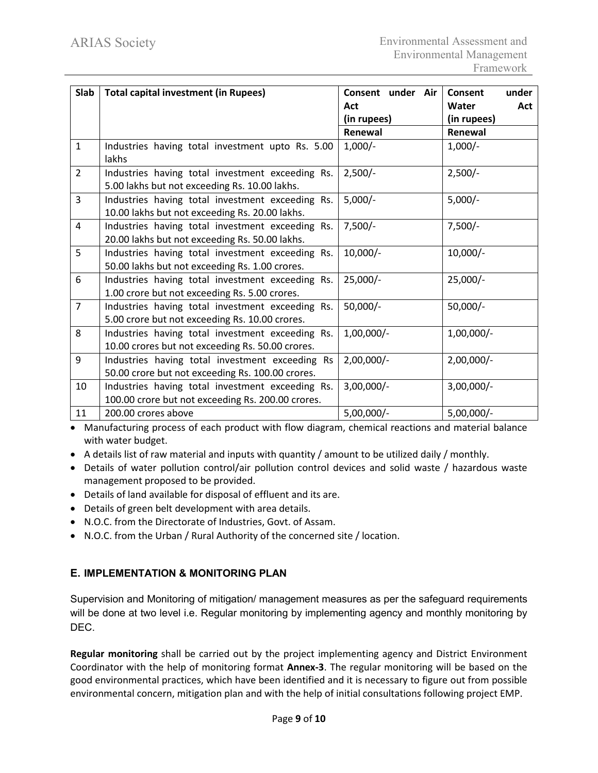| Slab           | <b>Total capital investment (in Rupees)</b>                                                           | Consent under Air | under<br>Consent |
|----------------|-------------------------------------------------------------------------------------------------------|-------------------|------------------|
|                |                                                                                                       | Act               | Water<br>Act     |
|                |                                                                                                       | (in rupees)       | (in rupees)      |
|                |                                                                                                       | Renewal           | Renewal          |
| $\mathbf{1}$   | Industries having total investment upto Rs. 5.00<br>lakhs                                             | $1,000/-$         | $1,000/-$        |
| $\overline{2}$ | Industries having total investment exceeding Rs.<br>5.00 lakhs but not exceeding Rs. 10.00 lakhs.     | $2,500/-$         | $2,500/-$        |
| $\overline{3}$ | Industries having total investment exceeding Rs.<br>10.00 lakhs but not exceeding Rs. 20.00 lakhs.    | $5,000/-$         | $5,000/-$        |
| $\overline{4}$ | Industries having total investment exceeding Rs.<br>20.00 lakhs but not exceeding Rs. 50.00 lakhs.    | $7,500/-$         | $7,500/-$        |
| 5              | Industries having total investment exceeding Rs.<br>50.00 lakhs but not exceeding Rs. 1.00 crores.    | $10,000/-$        | $10,000/-$       |
| 6              | Industries having total investment exceeding Rs.<br>1.00 crore but not exceeding Rs. 5.00 crores.     | $25,000/-$        | $25,000/-$       |
| $\overline{7}$ | Industries having total investment exceeding Rs.<br>5.00 crore but not exceeding Rs. 10.00 crores.    | $50,000/-$        | $50,000/-$       |
| 8              | Industries having total investment exceeding Rs.<br>10.00 crores but not exceeding Rs. 50.00 crores.  | $1,00,000/-$      | $1,00,000/-$     |
| 9              | Industries having total investment exceeding Rs<br>50.00 crore but not exceeding Rs. 100.00 crores.   | $2,00,000/-$      | $2,00,000/-$     |
| 10             | Industries having total investment exceeding Rs.<br>100.00 crore but not exceeding Rs. 200.00 crores. | $3,00,000/-$      | $3,00,000/-$     |
| 11             | 200.00 crores above                                                                                   | $5,00,000/-$      | $5,00,000/-$     |

• Manufacturing process of each product with flow diagram, chemical reactions and material balance with water budget.

- A details list of raw material and inputs with quantity / amount to be utilized daily / monthly.
- Details of water pollution control/air pollution control devices and solid waste / hazardous waste management proposed to be provided.
- Details of land available for disposal of effluent and its are.
- Details of green belt development with area details.
- N.O.C. from the Directorate of Industries, Govt. of Assam.
- N.O.C. from the Urban / Rural Authority of the concerned site / location.

# **E. IMPLEMENTATION & MONITORING PLAN**

Supervision and Monitoring of mitigation/ management measures as per the safeguard requirements will be done at two level i.e. Regular monitoring by implementing agency and monthly monitoring by DEC.

**Regular monitoring** shall be carried out by the project implementing agency and District Environment Coordinator with the help of monitoring format **Annex-3**. The regular monitoring will be based on the good environmental practices, which have been identified and it is necessary to figure out from possible environmental concern, mitigation plan and with the help of initial consultations following project EMP.